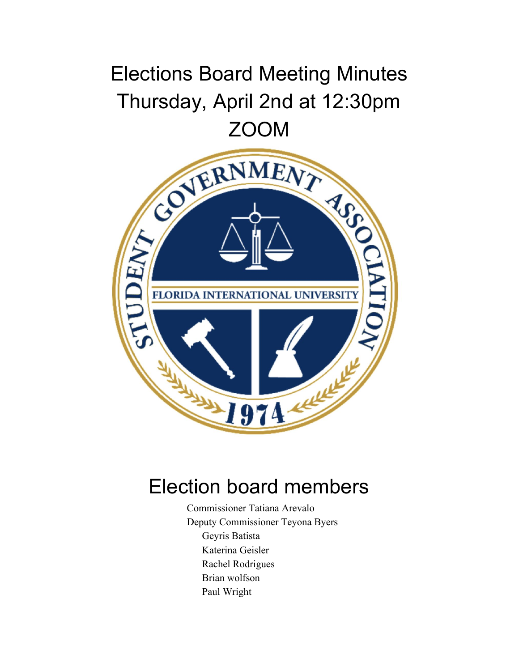# Elections Board Meeting Minutes Thursday, April 2nd at 12:30pm



## Election board members

Commissioner Tatiana Arevalo Deputy Commissioner Teyona Byers Geyris Batista Katerina Geisler Rachel Rodrigues Brian wolfson Paul Wright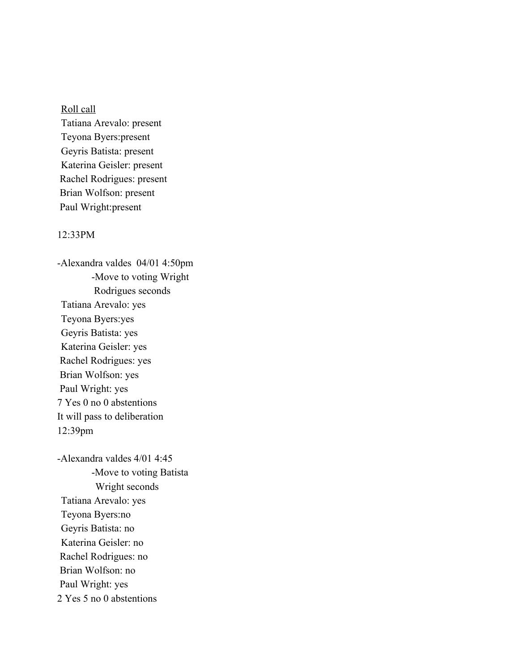### Roll call

Tatiana Arevalo: present Teyona Byers:present Geyris Batista: present Katerina Geisler: present Rachel Rodrigues: present Brian Wolfson: present Paul Wright:present

#### 12:33PM

-Alexandra valdes 04/01 4:50pm -Move to voting Wright Rodrigues seconds Tatiana Arevalo: yes Teyona Byers:yes Geyris Batista: yes Katerina Geisler: yes Rachel Rodrigues: yes Brian Wolfson: yes Paul Wright: yes 7 Yes 0 no 0 abstentions It will pass to deliberation 12:39pm

-Alexandra valdes 4/01 4:45 -Move to voting Batista Wright seconds Tatiana Arevalo: yes Teyona Byers:no Geyris Batista: no Katerina Geisler: no Rachel Rodrigues: no Brian Wolfson: no Paul Wright: yes 2 Yes 5 no 0 abstentions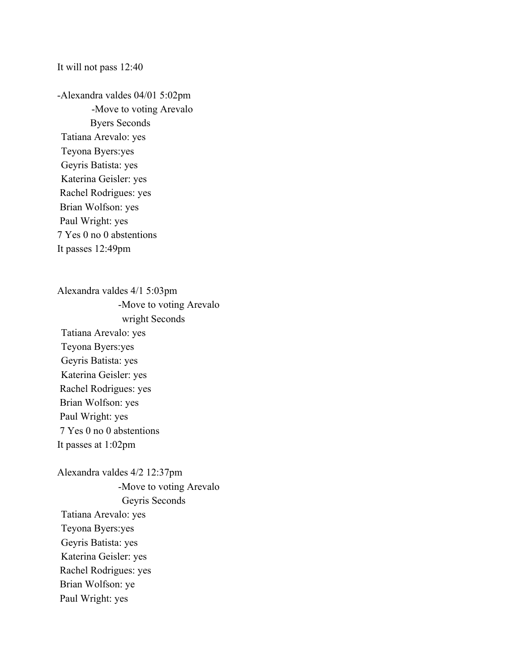#### It will not pass 12:40

-Alexandra valdes 04/01 5:02pm -Move to voting Arevalo Byers Seconds Tatiana Arevalo: yes Teyona Byers:yes Geyris Batista: yes Katerina Geisler: yes Rachel Rodrigues: yes Brian Wolfson: yes Paul Wright: yes 7 Yes 0 no 0 abstentions It passes 12:49pm

Alexandra valdes 4/1 5:03pm -Move to voting Arevalo wright Seconds Tatiana Arevalo: yes Teyona Byers:yes Geyris Batista: yes Katerina Geisler: yes Rachel Rodrigues: yes Brian Wolfson: yes Paul Wright: yes 7 Yes 0 no 0 abstentions It passes at 1:02pm

Alexandra valdes 4/2 12:37pm -Move to voting Arevalo Geyris Seconds Tatiana Arevalo: yes Teyona Byers:yes Geyris Batista: yes Katerina Geisler: yes Rachel Rodrigues: yes Brian Wolfson: ye Paul Wright: yes